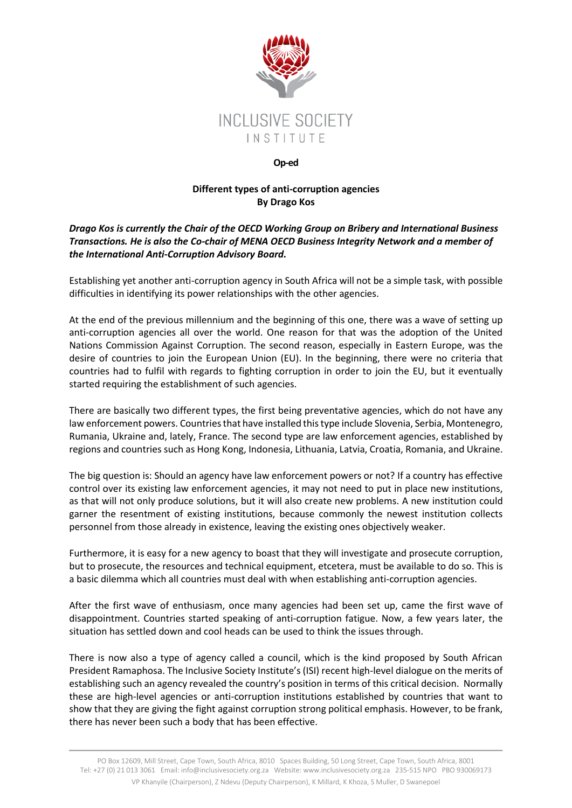

## **Op-ed**

## **Different types of anti-corruption agencies By Drago Kos**

## *Drago Kos is currently the Chair of the OECD Working Group on Bribery and International Business Transactions. He is also the Co-chair of MENA OECD Business Integrity Network and a member of the International Anti-Corruption Advisory Board.*

Establishing yet another anti-corruption agency in South Africa will not be a simple task, with possible difficulties in identifying its power relationships with the other agencies.

At the end of the previous millennium and the beginning of this one, there was a wave of setting up anti-corruption agencies all over the world. One reason for that was the adoption of the United Nations Commission Against Corruption. The second reason, especially in Eastern Europe, was the desire of countries to join the European Union (EU). In the beginning, there were no criteria that countries had to fulfil with regards to fighting corruption in order to join the EU, but it eventually started requiring the establishment of such agencies.

There are basically two different types, the first being preventative agencies, which do not have any law enforcement powers. Countries that have installed this type include Slovenia, Serbia, Montenegro, Rumania, Ukraine and, lately, France. The second type are law enforcement agencies, established by regions and countries such as Hong Kong, Indonesia, Lithuania, Latvia, Croatia, Romania, and Ukraine.

The big question is: Should an agency have law enforcement powers or not? If a country has effective control over its existing law enforcement agencies, it may not need to put in place new institutions, as that will not only produce solutions, but it will also create new problems. A new institution could garner the resentment of existing institutions, because commonly the newest institution collects personnel from those already in existence, leaving the existing ones objectively weaker.

Furthermore, it is easy for a new agency to boast that they will investigate and prosecute corruption, but to prosecute, the resources and technical equipment, etcetera, must be available to do so. This is a basic dilemma which all countries must deal with when establishing anti-corruption agencies.

After the first wave of enthusiasm, once many agencies had been set up, came the first wave of disappointment. Countries started speaking of anti-corruption fatigue. Now, a few years later, the situation has settled down and cool heads can be used to think the issues through.

There is now also a type of agency called a council, which is the kind proposed by South African President Ramaphosa. The Inclusive Society Institute's (ISI) recent high-level dialogue on the merits of establishing such an agency revealed the country's position in terms of this critical decision. Normally these are high-level agencies or anti-corruption institutions established by countries that want to show that they are giving the fight against corruption strong political emphasis. However, to be frank, there has never been such a body that has been effective.